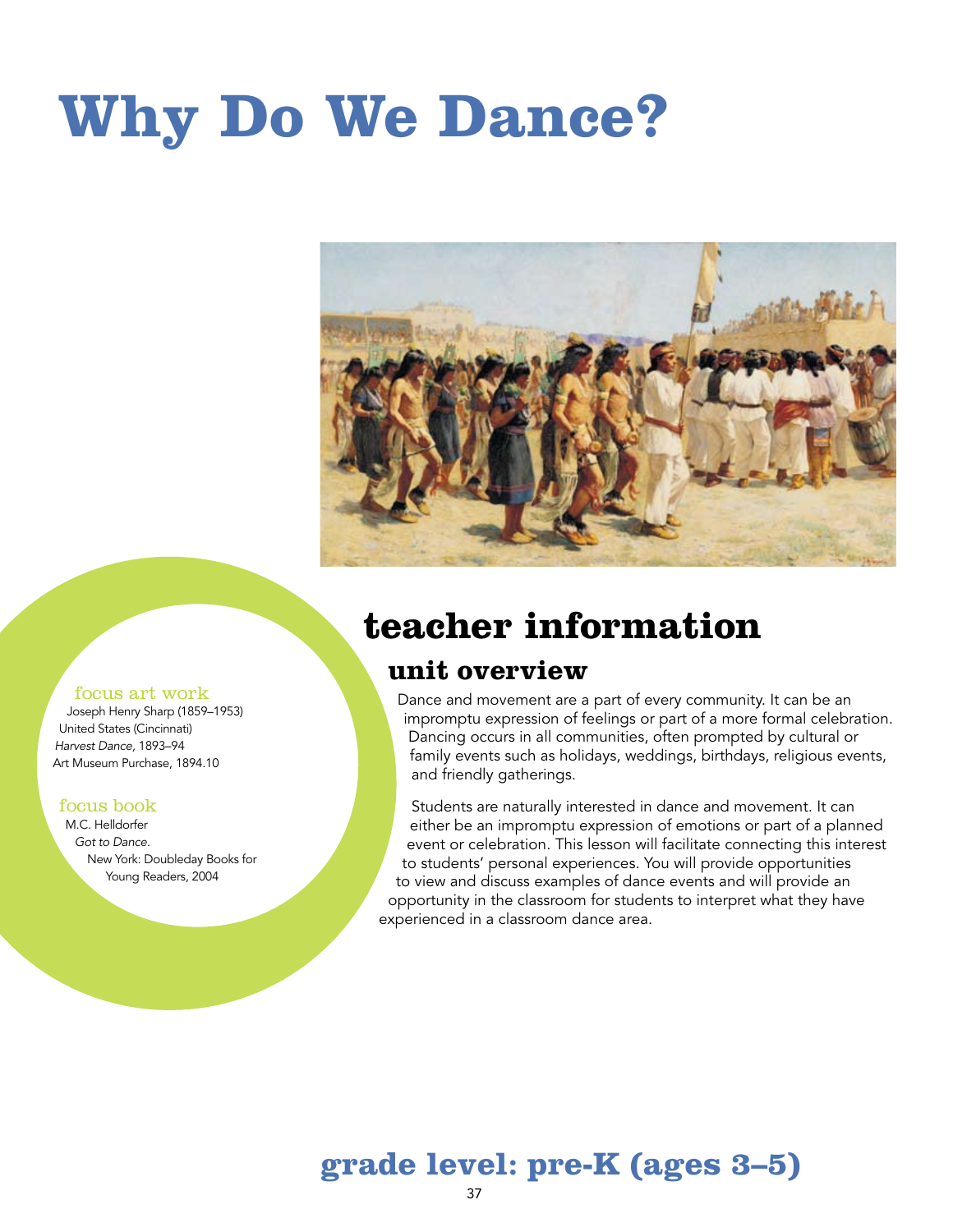# **Why Do We Dance?**



### **teacher information**

### **unit overview**

Dance and movement are a part of every community. It can be an impromptu expression of feelings or part of a more formal celebration. Dancing occurs in all communities, often prompted by cultural or family events such as holidays, weddings, birthdays, religious events, and friendly gatherings.

Students are naturally interested in dance and movement. It can either be an impromptu expression of emotions or part of a planned event or celebration. This lesson will facilitate connecting this interest to students' personal experiences. You will provide opportunities to view and discuss examples of dance events and will provide an opportunity in the classroom for students to interpret what they have experienced in a classroom dance area.

### **grade level: pre-K (ages 3–5)**

37

#### focus art work Joseph Henry Sharp (1859–1953)

United States (Cincinnati) *Harvest Dance,* 1893–94 Art Museum Purchase, 1894.10

#### focus book

M.C. Helldorfer *Got to Dance.* New York: Doubleday Books for Young Readers, 2004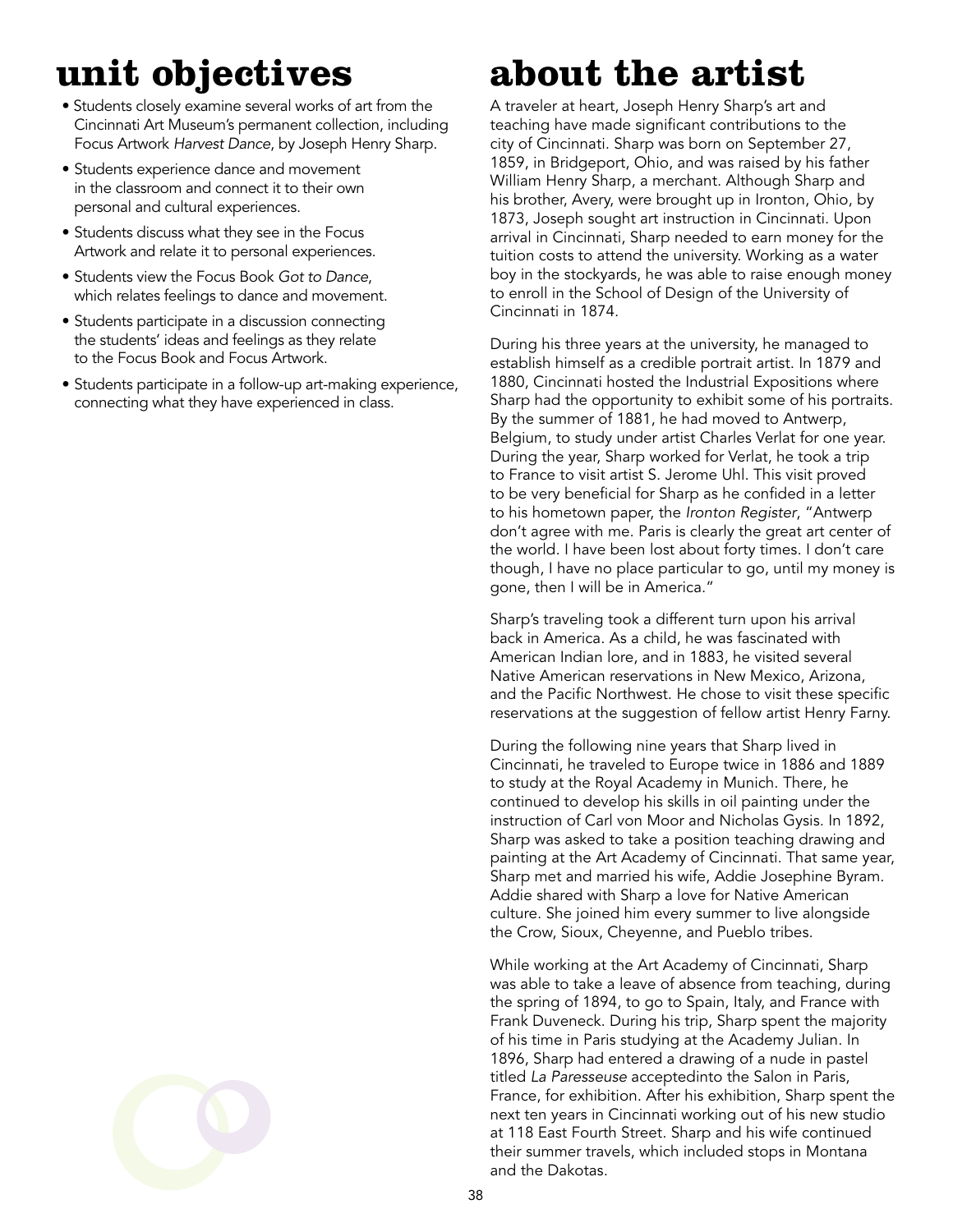# **unit objectives**

- Students closely examine several works of art from the Cincinnati Art Museum's permanent collection, including Focus Artwork *Harvest Dance*, by Joseph Henry Sharp.
- Students experience dance and movement in the classroom and connect it to their own personal and cultural experiences.
- Students discuss what they see in the Focus Artwork and relate it to personal experiences.
- Students view the Focus Book *Got to Dance*, which relates feelings to dance and movement.
- Students participate in a discussion connecting the students' ideas and feelings as they relate to the Focus Book and Focus Artwork.
- Students participate in a follow-up art-making experience, connecting what they have experienced in class.

# **about the artist**

A traveler at heart, Joseph Henry Sharp's art and teaching have made significant contributions to the city of Cincinnati. Sharp was born on September 27, 1859, in Bridgeport, Ohio, and was raised by his father William Henry Sharp, a merchant. Although Sharp and his brother, Avery, were brought up in Ironton, Ohio, by 1873, Joseph sought art instruction in Cincinnati. Upon arrival in Cincinnati, Sharp needed to earn money for the tuition costs to attend the university. Working as a water boy in the stockyards, he was able to raise enough money to enroll in the School of Design of the University of Cincinnati in 1874.

During his three years at the university, he managed to establish himself as a credible portrait artist. In 1879 and 1880, Cincinnati hosted the Industrial Expositions where Sharp had the opportunity to exhibit some of his portraits. By the summer of 1881, he had moved to Antwerp, Belgium, to study under artist Charles Verlat for one year. During the year, Sharp worked for Verlat, he took a trip to France to visit artist S. Jerome Uhl. This visit proved to be very beneficial for Sharp as he confided in a letter to his hometown paper, the *Ironton Register*, "Antwerp don't agree with me. Paris is clearly the great art center of the world. I have been lost about forty times. I don't care though, I have no place particular to go, until my money is gone, then I will be in America."

Sharp's traveling took a different turn upon his arrival back in America. As a child, he was fascinated with American Indian lore, and in 1883, he visited several Native American reservations in New Mexico, Arizona, and the Pacific Northwest. He chose to visit these specific reservations at the suggestion of fellow artist Henry Farny.

During the following nine years that Sharp lived in Cincinnati, he traveled to Europe twice in 1886 and 1889 to study at the Royal Academy in Munich. There, he continued to develop his skills in oil painting under the instruction of Carl von Moor and Nicholas Gysis. In 1892, Sharp was asked to take a position teaching drawing and painting at the Art Academy of Cincinnati. That same year, Sharp met and married his wife, Addie Josephine Byram. Addie shared with Sharp a love for Native American culture. She joined him every summer to live alongside the Crow, Sioux, Cheyenne, and Pueblo tribes.

While working at the Art Academy of Cincinnati, Sharp was able to take a leave of absence from teaching, during the spring of 1894, to go to Spain, Italy, and France with Frank Duveneck. During his trip, Sharp spent the majority of his time in Paris studying at the Academy Julian. In 1896, Sharp had entered a drawing of a nude in pastel titled *La Paresseuse* acceptedinto the Salon in Paris, France, for exhibition. After his exhibition, Sharp spent the next ten years in Cincinnati working out of his new studio at 118 East Fourth Street. Sharp and his wife continued their summer travels, which included stops in Montana and the Dakotas.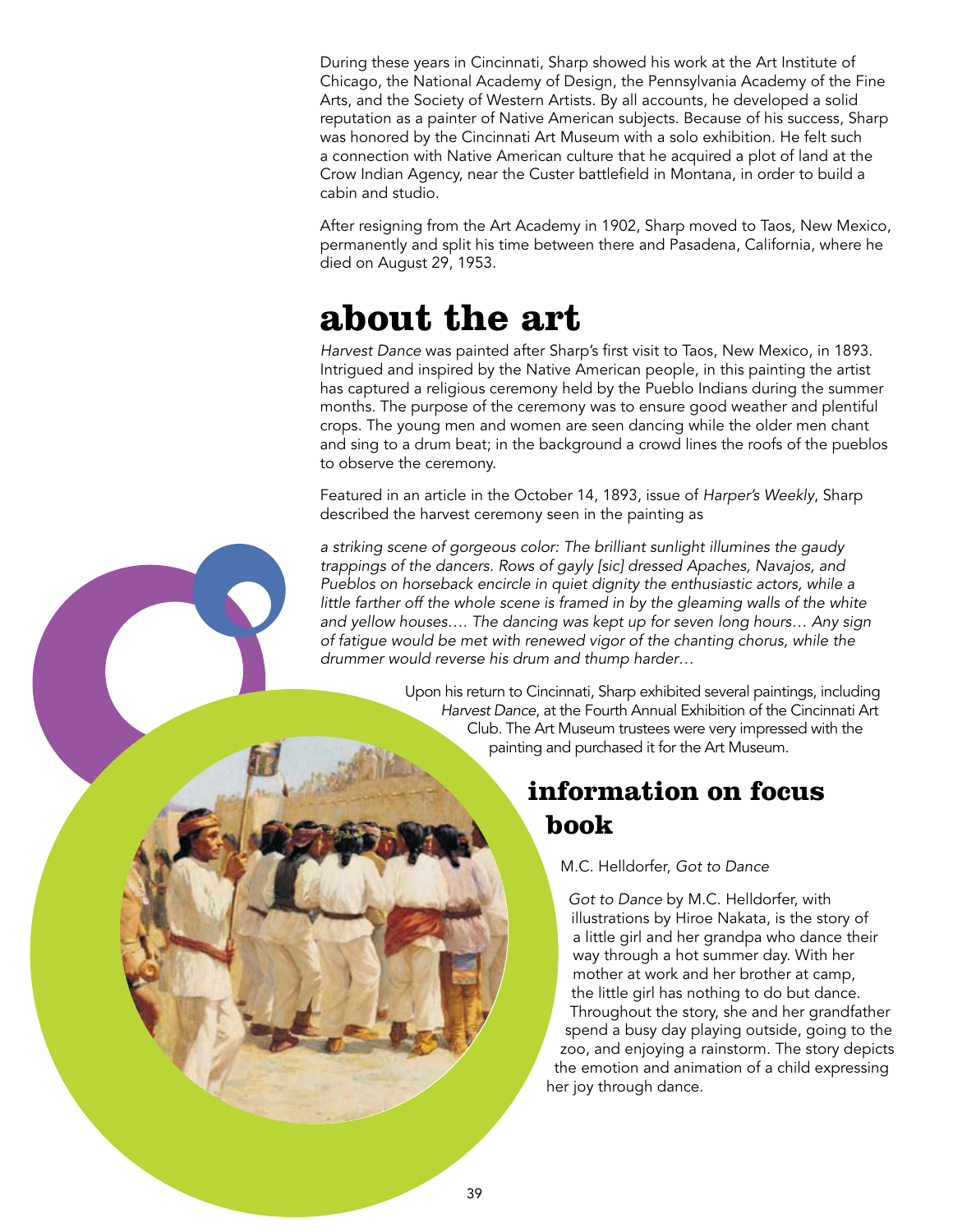During these years in Cincinnati, Sharp showed his work at the Art Institute of Chicago, the National Academy of Design, the Pennsylvania Academy of the Fine Arts, and the Society of Western Artists. By all accounts, he developed a solid reputation as a painter of Native American subjects. Because of his success, Sharp was honored by the Cincinnati Art Museum with a solo exhibition. He felt such a connection with Native American culture that he acquired a plot of land at the Crow Indian Agency, near the Custer battlefield in Montana, in order to build a cabin and studio.

After resigning from the Art Academy in 1902, Sharp moved to Taos, New Mexico, permanently and split his time between there and Pasadena, California, where he died on August 29, 1953.

### **about the art**

*Harvest Dance* was painted after Sharp's first visit to Taos, New Mexico, in 1893. Intrigued and inspired by the Native American people, in this painting the artist has captured a religious ceremony held by the Pueblo Indians during the summer months. The purpose of the ceremony was to ensure good weather and plentiful crops. The young men and women are seen dancing while the older men chant and sing to a drum beat; in the background a crowd lines the roofs of the pueblos to observe the ceremony.

Featured in an article in the October 14, 1893, issue of *Harper's Weekly*, Sharp described the harvest ceremony seen in the painting as

*a striking scene of gorgeous color: The brilliant sunlight illumines the gaudy trappings of the dancers. Rows of gayly [sic] dressed Apaches, Navajos, and Pueblos on horseback encircle in quiet dignity the enthusiastic actors, while a*  little farther off the whole scene is framed in by the gleaming walls of the white *and yellow houses…. The dancing was kept up for seven long hours… Any sign of fatigue would be met with renewed vigor of the chanting chorus, while the drummer would reverse his drum and thump harder…*

> Upon his return to Cincinnati, Sharp exhibited several paintings, including *Harvest Dance*, at the Fourth Annual Exhibition of the Cincinnati Art Club. The Art Museum trustees were very impressed with the painting and purchased it for the Art Museum.

### **information on focus book**

M.C. Helldorfer, *Got to Dance*

*Got to Dance* by M.C. Helldorfer, with illustrations by Hiroe Nakata, is the story of a little girl and her grandpa who dance their way through a hot summer day. With her mother at work and her brother at camp, the little girl has nothing to do but dance. Throughout the story, she and her grandfather spend a busy day playing outside, going to the zoo, and enjoying a rainstorm. The story depicts the emotion and animation of a child expressing her joy through dance.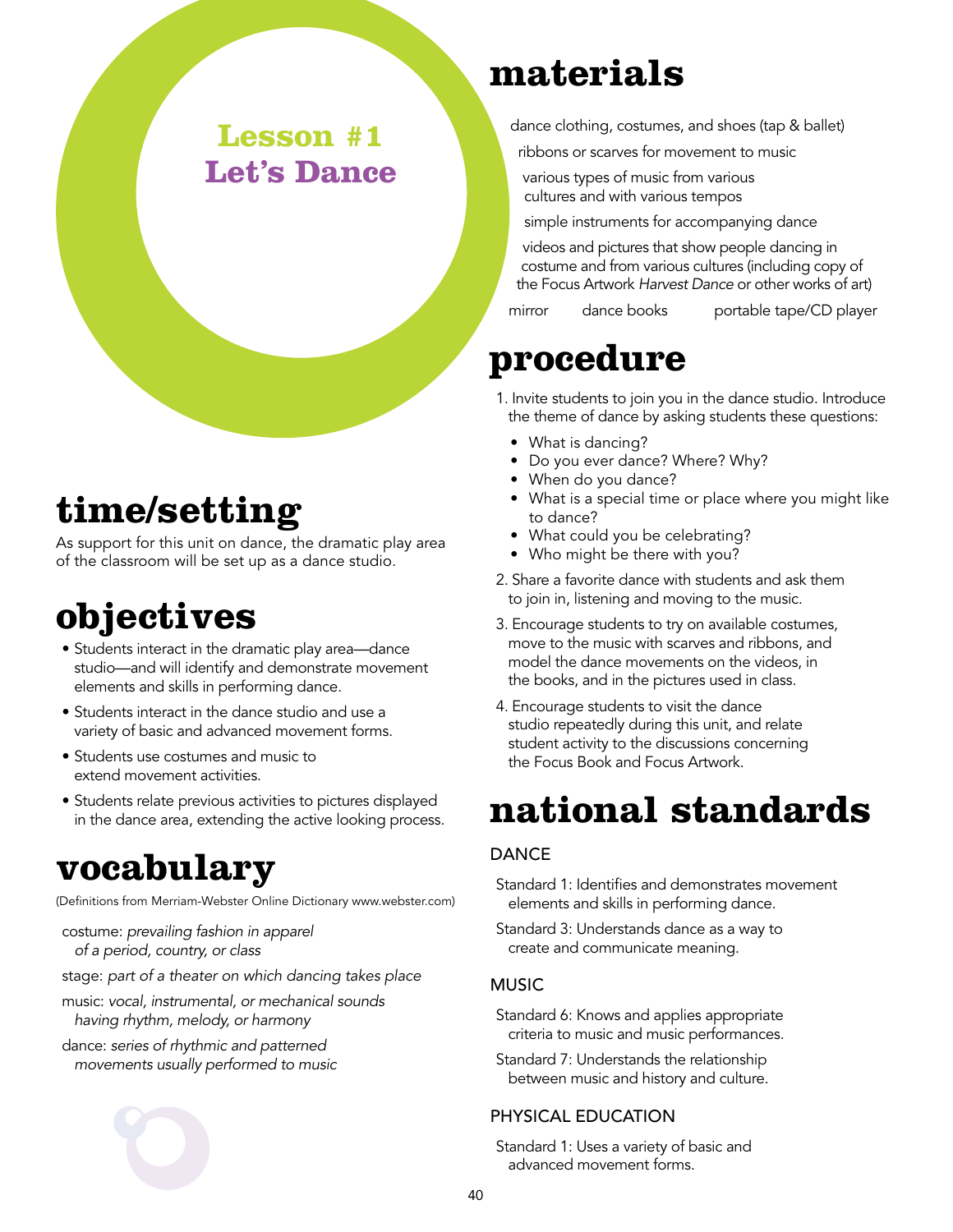### **Lesson #1 Let's Dance**

## **time/setting**

As support for this unit on dance, the dramatic play area of the classroom will be set up as a dance studio.

# **objectives**

- Students interact in the dramatic play area—dance studio—and will identify and demonstrate movement elements and skills in performing dance.
- Students interact in the dance studio and use a variety of basic and advanced movement forms.
- Students use costumes and music to extend movement activities.
- Students relate previous activities to pictures displayed in the dance area, extending the active looking process.

## **vocabulary**

(Definitions from Merriam-Webster Online Dictionary www.webster.com)

- costume: *prevailing fashion in apparel of a period, country, or class*
- stage: *part of a theater on which dancing takes place*
- music: *vocal, instrumental, or mechanical sounds having rhythm, melody, or harmony*
- dance: *series of rhythmic and patterned movements usually performed to music*



## **materials**

dance clothing, costumes, and shoes (tap & ballet)

- ribbons or scarves for movement to music
- various types of music from various cultures and with various tempos

simple instruments for accompanying dance

videos and pictures that show people dancing in costume and from various cultures (including copy of the Focus Artwork *Harvest Dance* or other works of art)

mirror dance books portable tape/CD player

### **procedure**

- 1. Invite students to join you in the dance studio. Introduce the theme of dance by asking students these questions:
	- What is dancing?
	- Do you ever dance? Where? Why?
	- When do you dance?
	- What is a special time or place where you might like to dance?
	- What could you be celebrating?
	- Who might be there with you?
- 2. Share a favorite dance with students and ask them to join in, listening and moving to the music.
- 3. Encourage students to try on available costumes, move to the music with scarves and ribbons, and model the dance movements on the videos, in the books, and in the pictures used in class.
- 4. Encourage students to visit the dance studio repeatedly during this unit, and relate student activity to the discussions concerning the Focus Book and Focus Artwork.

## **national standards**

### **DANCE**

- Standard 1: Identifies and demonstrates movement elements and skills in performing dance.
- Standard 3: Understands dance as a way to create and communicate meaning.

### **MUSIC**

- Standard 6: Knows and applies appropriate criteria to music and music performances.
- Standard 7: Understands the relationship between music and history and culture.

#### Physical Education

Standard 1: Uses a variety of basic and advanced movement forms.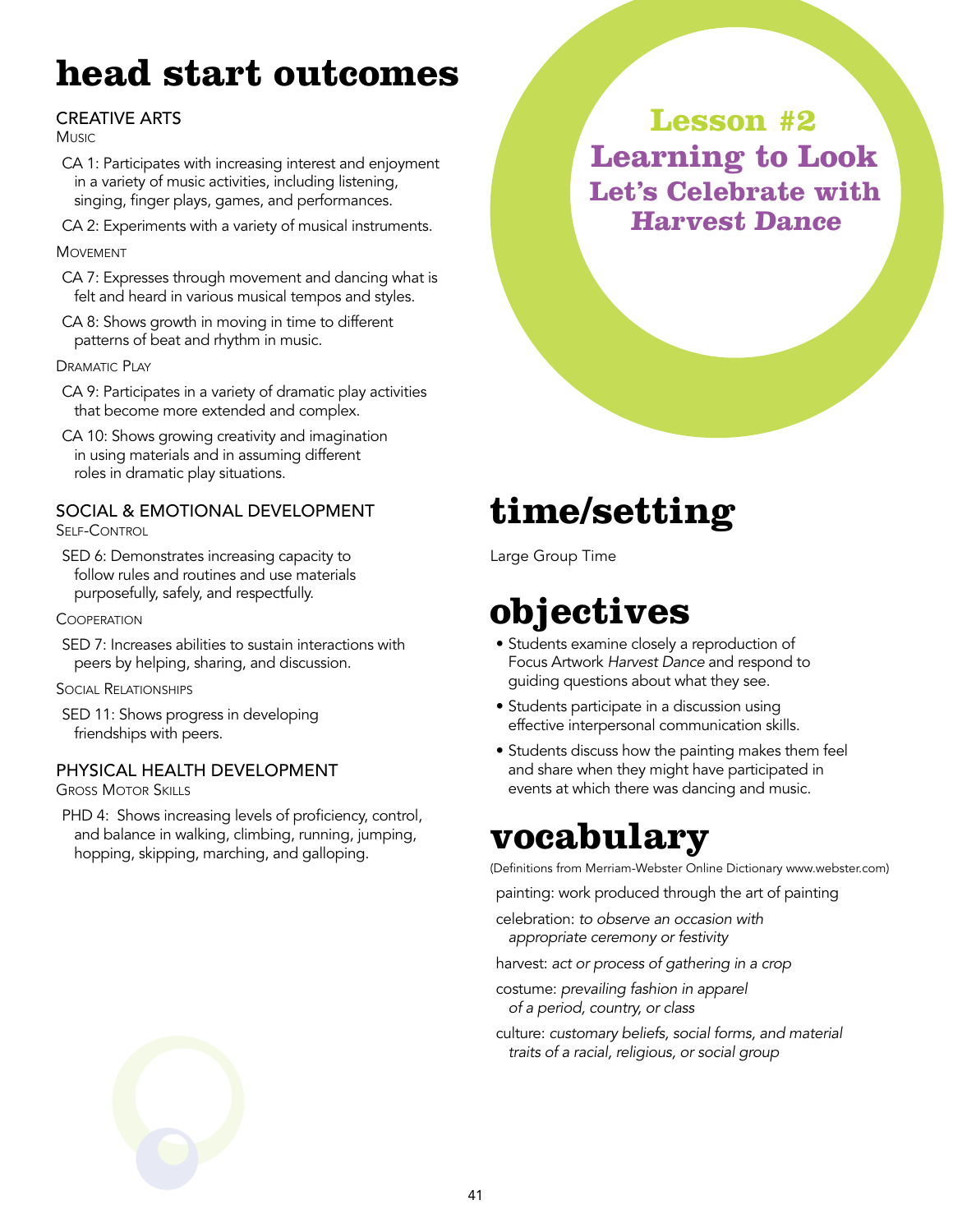# **head start outcomes**

### **CREATIVE ARTS**

Music

- CA 1: Participates with increasing interest and enjoyment in a variety of music activities, including listening, singing, finger plays, games, and performances.
- CA 2: Experiments with a variety of musical instruments.

#### **MOVEMENT**

- CA 7: Expresses through movement and dancing what is felt and heard in various musical tempos and styles.
- CA 8: Shows growth in moving in time to different patterns of beat and rhythm in music.

DRAMATIC PLAY

- CA 9: Participates in a variety of dramatic play activities that become more extended and complex.
- CA 10: Shows growing creativity and imagination in using materials and in assuming different roles in dramatic play situations.

#### Social & Emotional Development Self-Control

SED 6: Demonstrates increasing capacity to follow rules and routines and use materials purposefully, safely, and respectfully.

#### **COOPERATION**

SED 7: Increases abilities to sustain interactions with peers by helping, sharing, and discussion.

Social Relationships

SED 11: Shows progress in developing friendships with peers.

### Physical Health Development

Gross Motor Skills

PHD 4: Shows increasing levels of proficiency, control, and balance in walking, climbing, running, jumping, hopping, skipping, marching, and galloping.

**Lesson #2 Learning to Look Let's Celebrate with Harvest Dance**

# **time/setting**

Large Group Time

## **objectives**

- Students examine closely a reproduction of Focus Artwork *Harvest Dance* and respond to guiding questions about what they see.
- Students participate in a discussion using effective interpersonal communication skills.
- Students discuss how the painting makes them feel and share when they might have participated in events at which there was dancing and music.

## **vocabulary**

(Definitions from Merriam-Webster Online Dictionary www.webster.com)

painting: work produced through the art of painting

celebration: *to observe an occasion with appropriate ceremony or festivity*

harvest: *act or process of gathering in a crop*

costume: *prevailing fashion in apparel of a period, country, or class*

culture: *customary beliefs, social forms, and material traits of a racial, religious, or social group*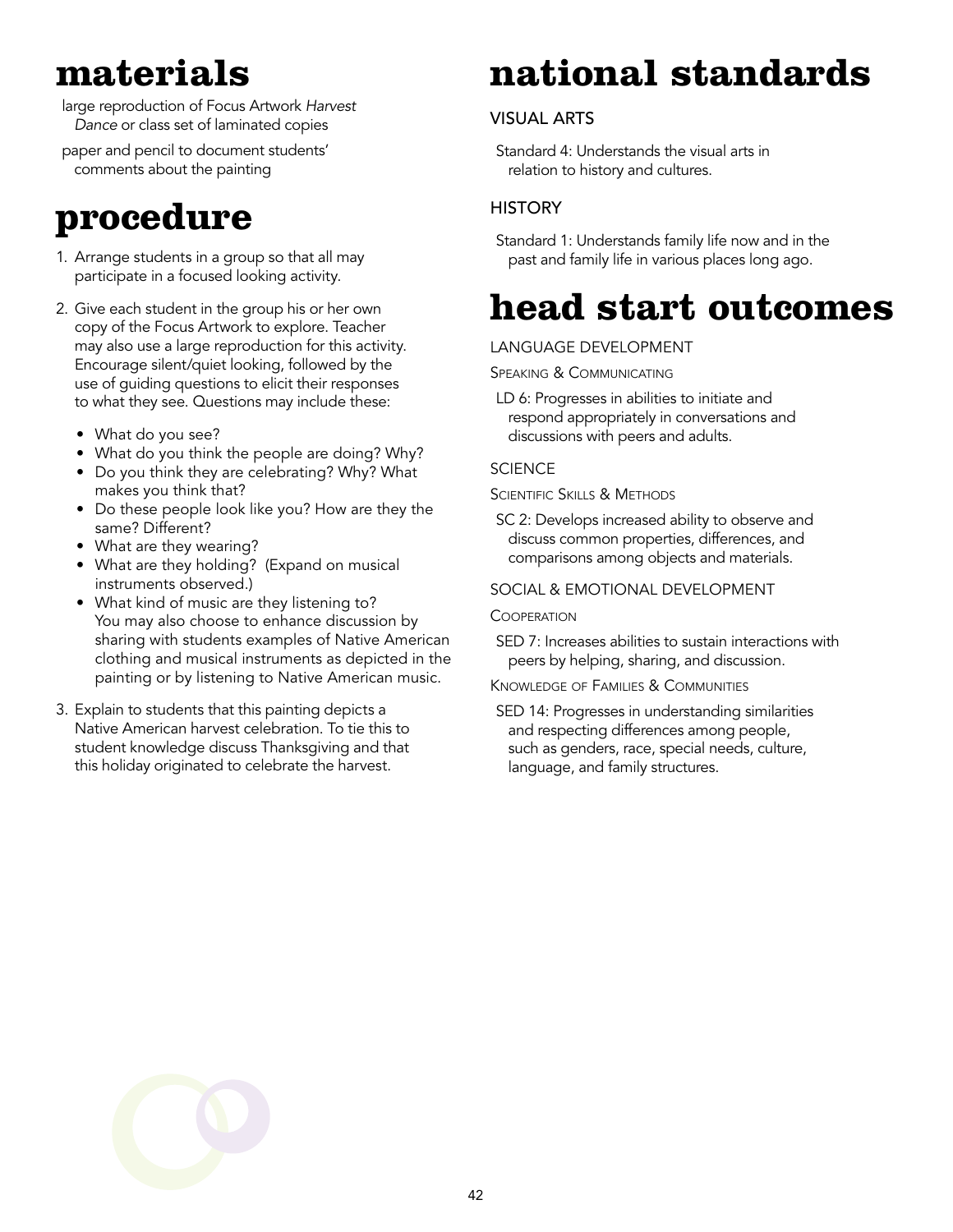## **materials**

large reproduction of Focus Artwork *Harvest Dance* or class set of laminated copies

paper and pencil to document students' comments about the painting

### **procedure**

- 1. Arrange students in a group so that all may participate in a focused looking activity.
- 2. Give each student in the group his or her own copy of the Focus Artwork to explore. Teacher may also use a large reproduction for this activity. Encourage silent/quiet looking, followed by the use of guiding questions to elicit their responses to what they see. Questions may include these:
	- What do you see?
	- What do you think the people are doing? Why?
	- Do you think they are celebrating? Why? What makes you think that?
	- Do these people look like you? How are they the same? Different?
	- What are they wearing?
	- What are they holding? (Expand on musical instruments observed.)
	- What kind of music are they listening to? You may also choose to enhance discussion by sharing with students examples of Native American clothing and musical instruments as depicted in the painting or by listening to Native American music.
- 3. Explain to students that this painting depicts a Native American harvest celebration. To tie this to student knowledge discuss Thanksgiving and that this holiday originated to celebrate the harvest.

# **national standards**

### Visual Arts

Standard 4: Understands the visual arts in relation to history and cultures.

### **HISTORY**

Standard 1: Understands family life now and in the past and family life in various places long ago.

## **head start outcomes**

### Language Development

Speaking & Communicating

LD 6: Progresses in abilities to initiate and respond appropriately in conversations and discussions with peers and adults.

#### **SCIENCE**

Scientific Skills & Methods

SC 2: Develops increased ability to observe and discuss common properties, differences, and comparisons among objects and materials.

#### Social & Emotional Development

#### **COOPERATION**

SED 7: Increases abilities to sustain interactions with peers by helping, sharing, and discussion.

#### Knowledge of Families & Communities

SED 14: Progresses in understanding similarities and respecting differences among people, such as genders, race, special needs, culture, language, and family structures.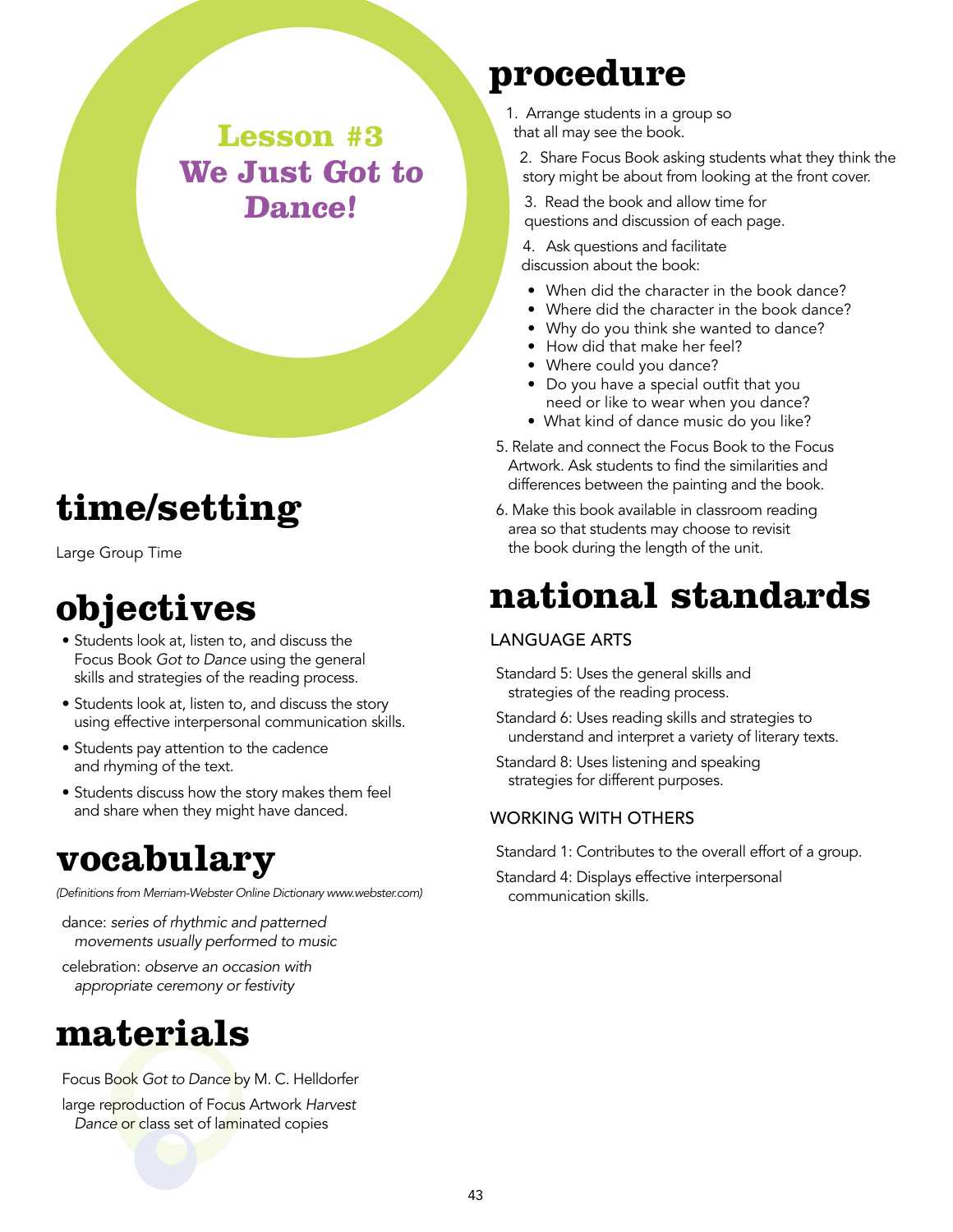**Lesson #3 We Just Got to Dance!**

## **time/setting**

Large Group Time

## **objectives**

- Students look at, listen to, and discuss the Focus Book *Got to Dance* using the general skills and strategies of the reading process.
- Students look at, listen to, and discuss the story using effective interpersonal communication skills.
- Students pay attention to the cadence and rhyming of the text.
- Students discuss how the story makes them feel and share when they might have danced.

### **vocabulary**

*(Definitions from Merriam-Webster Online Dictionary www.webster.com)*

dance: *series of rhythmic and patterned movements usually performed to music*

celebration: *observe an occasion with appropriate ceremony or festivity*

### **materials**

Focus Book *Got to Dance* by M. C. Helldorfer

large reproduction of Focus Artwork *Harvest Dance* or class set of laminated copies

### **procedure**

1. Arrange students in a group so that all may see the book.

2. Share Focus Book asking students what they think the story might be about from looking at the front cover.

3. Read the book and allow time for questions and discussion of each page.

4. Ask questions and facilitate discussion about the book:

- When did the character in the book dance?
- Where did the character in the book dance?
- Why do you think she wanted to dance?
- How did that make her feel?
- Where could you dance?
- Do you have a special outfit that you need or like to wear when you dance?
- What kind of dance music do you like?
- 5. Relate and connect the Focus Book to the Focus Artwork. Ask students to find the similarities and differences between the painting and the book.
- 6. Make this book available in classroom reading area so that students may choose to revisit the book during the length of the unit.

## **national standards**

#### Language Arts

Standard 5: Uses the general skills and strategies of the reading process.

- Standard 6: Uses reading skills and strategies to understand and interpret a variety of literary texts.
- Standard 8: Uses listening and speaking strategies for different purposes.

#### Working with Others

Standard 1: Contributes to the overall effort of a group.

Standard 4: Displays effective interpersonal communication skills.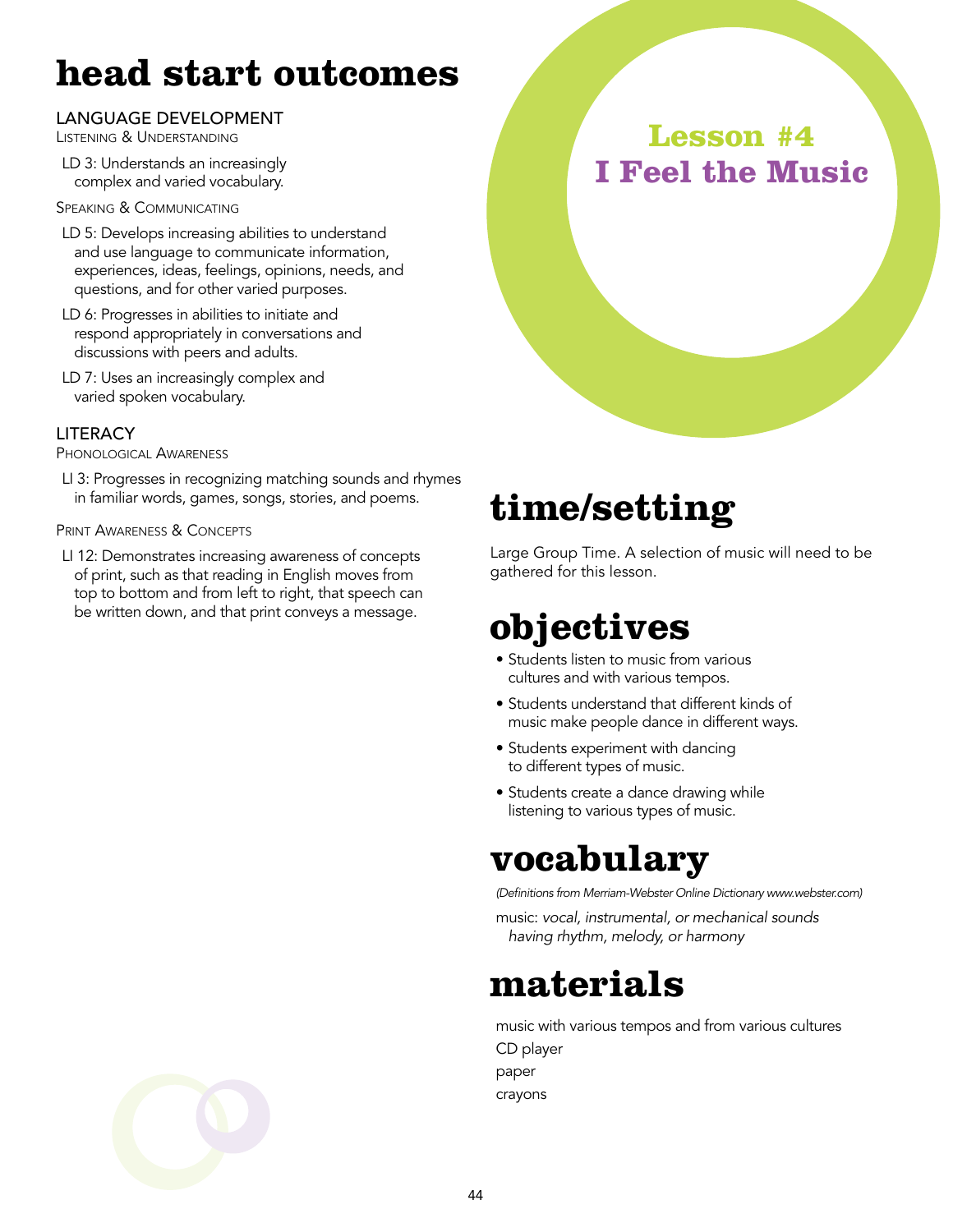## **head start outcomes**

#### Language Development

Listening & Understanding

LD 3: Understands an increasingly complex and varied vocabulary.

Speaking & Communicating

- LD 5: Develops increasing abilities to understand and use language to communicate information, experiences, ideas, feelings, opinions, needs, and questions, and for other varied purposes.
- LD 6: Progresses in abilities to initiate and respond appropriately in conversations and discussions with peers and adults.
- LD 7: Uses an increasingly complex and varied spoken vocabulary.

#### **LITERACY**

Phonological Awareness

LI 3: Progresses in recognizing matching sounds and rhymes in familiar words, games, songs, stories, and poems.

#### PRINT AWARENESS & CONCEPTS

LI 12: Demonstrates increasing awareness of concepts of print, such as that reading in English moves from top to bottom and from left to right, that speech can be written down, and that print conveys a message.



## **time/setting**

Large Group Time. A selection of music will need to be gathered for this lesson.

### **objectives**

- Students listen to music from various cultures and with various tempos.
- Students understand that different kinds of music make people dance in different ways.
- Students experiment with dancing to different types of music.
- Students create a dance drawing while listening to various types of music.

### **vocabulary**

*(Definitions from Merriam-Webster Online Dictionary www.webster.com)*

music: *vocal, instrumental, or mechanical sounds having rhythm, melody, or harmony*

### **materials**

music with various tempos and from various cultures CD player paper crayons

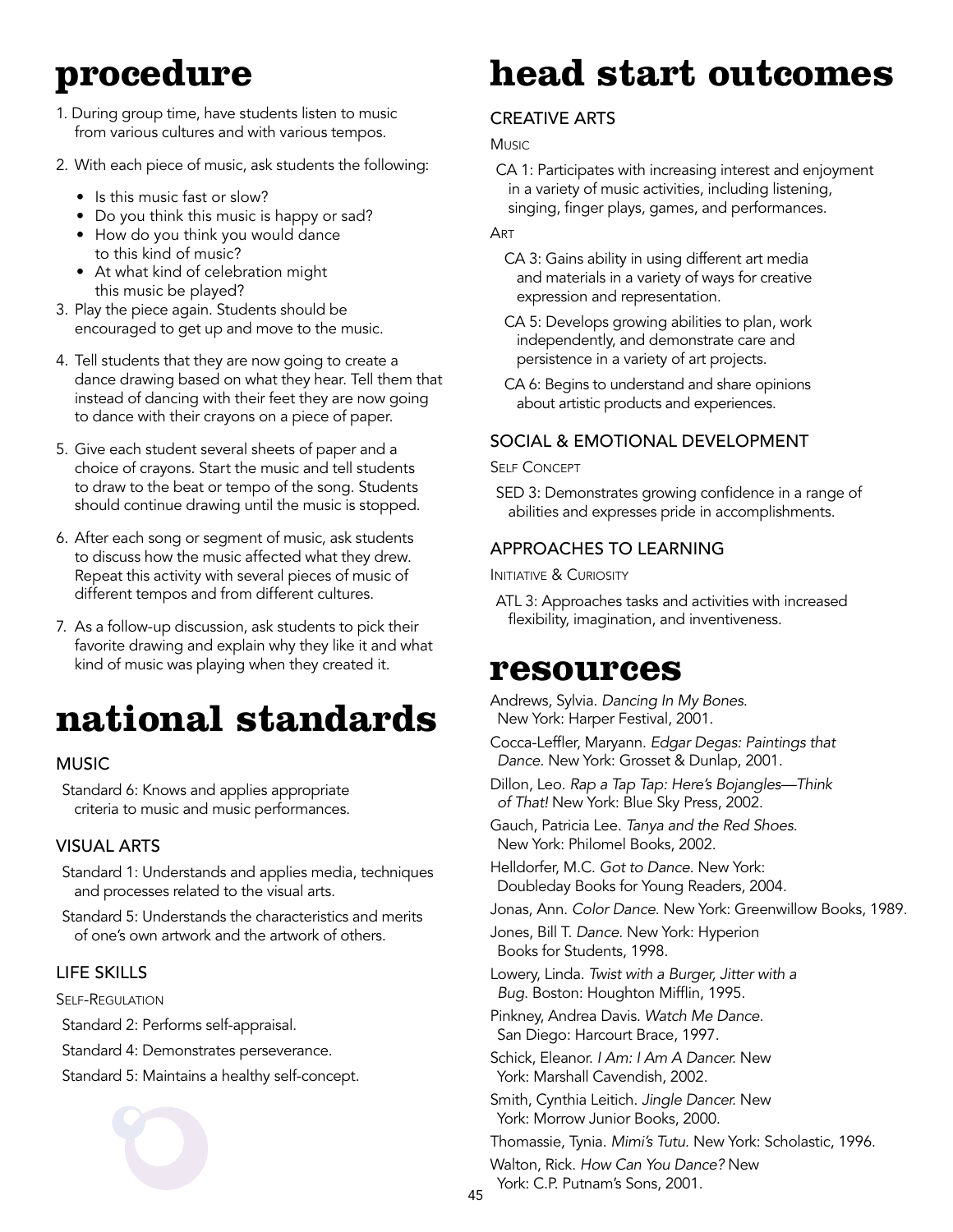## **procedure**

- 1. During group time, have students listen to music from various cultures and with various tempos.
- 2. With each piece of music, ask students the following:
	- Is this music fast or slow?
	- Do you think this music is happy or sad?
	- How do you think you would dance to this kind of music?
	- At what kind of celebration might this music be played?
- 3. Play the piece again. Students should be encouraged to get up and move to the music.
- 4. Tell students that they are now going to create a dance drawing based on what they hear. Tell them that instead of dancing with their feet they are now going to dance with their crayons on a piece of paper.
- 5. Give each student several sheets of paper and a choice of crayons. Start the music and tell students to draw to the beat or tempo of the song. Students should continue drawing until the music is stopped.
- 6. After each song or segment of music, ask students to discuss how the music affected what they drew. Repeat this activity with several pieces of music of different tempos and from different cultures.
- 7. As a follow-up discussion, ask students to pick their favorite drawing and explain why they like it and what kind of music was playing when they created it.

# **national standards**

### **MUSIC**

Standard 6: Knows and applies appropriate criteria to music and music performances.

#### Visual Arts

Standard 1: Understands and applies media, techniques and processes related to the visual arts.

Standard 5: Understands the characteristics and merits of one's own artwork and the artwork of others.

#### Life Skills

Self-Regulation

Standard 2: Performs self-appraisal.

Standard 4: Demonstrates perseverance.

Standard 5: Maintains a healthy self-concept.



## **head start outcomes**

### **CREATIVE ARTS**

**Music** 

CA 1: Participates with increasing interest and enjoyment in a variety of music activities, including listening, singing, finger plays, games, and performances.

#### **ART**

- CA 3: Gains ability in using different art media and materials in a variety of ways for creative expression and representation.
- CA 5: Develops growing abilities to plan, work independently, and demonstrate care and persistence in a variety of art projects.
- CA 6: Begins to understand and share opinions about artistic products and experiences.

### Social & Emotional Development

**SELF CONCEPT** 

SED 3: Demonstrates growing confidence in a range of abilities and expresses pride in accomplishments.

### Approaches to Learning

**INITIATIVE & CURIOSITY** 

ATL 3: Approaches tasks and activities with increased flexibility, imagination, and inventiveness.

### **resources**

Andrews, Sylvia. *Dancing In My Bones*. New York: Harper Festival, 2001.

- Cocca-Leffler, Maryann. *Edgar Degas: Paintings that Dance*. New York: Grosset & Dunlap, 2001.
- Dillon, Leo. *Rap a Tap Tap: Here's Bojangles—Think of That!* New York: Blue Sky Press, 2002.

Gauch, Patricia Lee. *Tanya and the Red Shoes*. New York: Philomel Books, 2002.

Helldorfer, M.C. *Got to Dance*. New York: Doubleday Books for Young Readers, 2004.

Jonas, Ann. *Color Dance*. New York: Greenwillow Books, 1989.

Jones, Bill T. *Dance.* New York: Hyperion Books for Students, 1998.

Lowery, Linda. *Twist with a Burger, Jitter with a Bug*. Boston: Houghton Mifflin, 1995.

Pinkney, Andrea Davis. *Watch Me Dance.* San Diego: Harcourt Brace, 1997.

Schick, Eleanor. *I Am: I Am A Dancer.* New York: Marshall Cavendish, 2002.

Smith, Cynthia Leitich. *Jingle Dancer.* New York: Morrow Junior Books, 2000.

Thomassie, Tynia. *Mimi's Tutu.* New York: Scholastic, 1996.

Walton, Rick. *How Can You Dance?* New York: C.P. Putnam's Sons, 2001.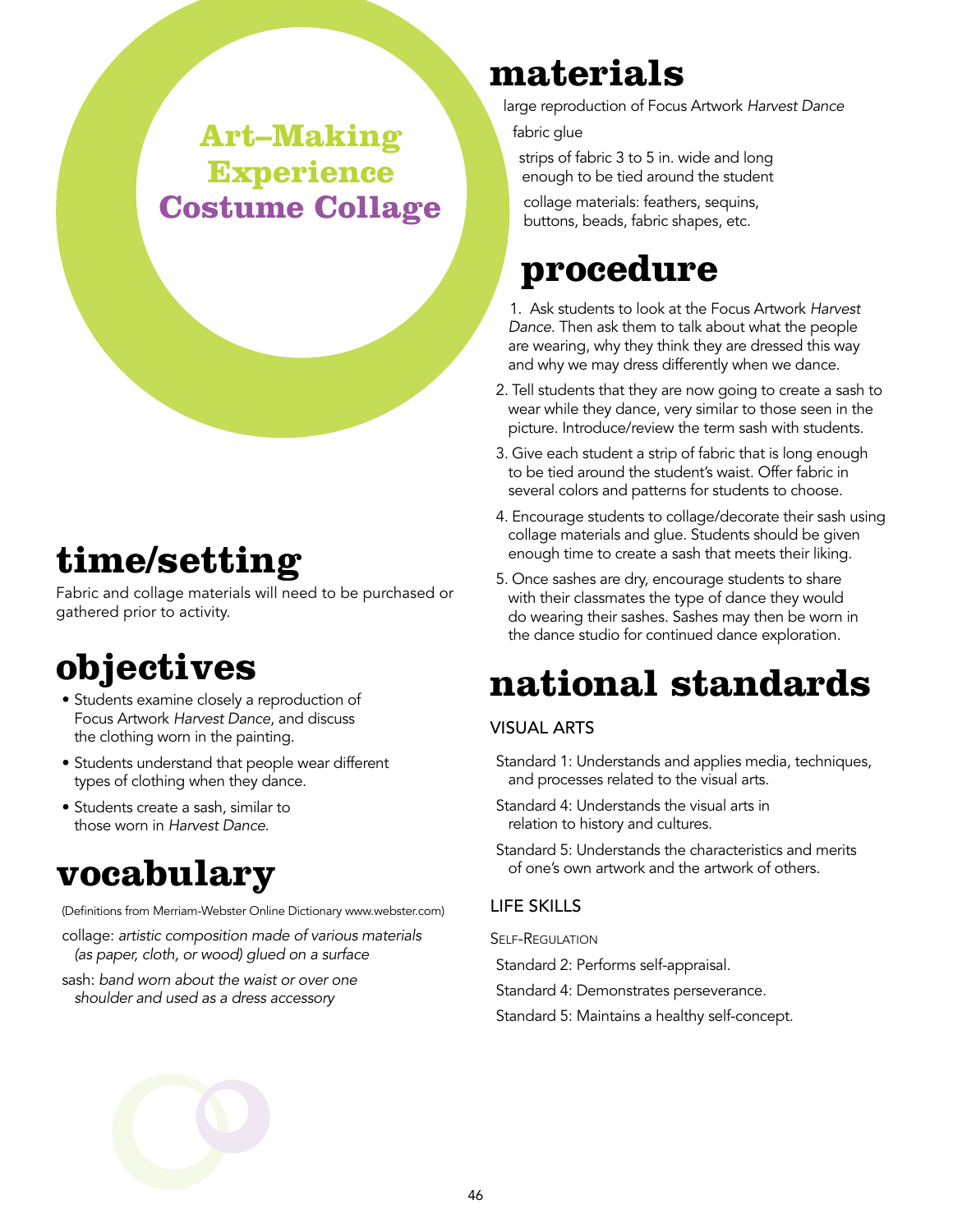### **Art–Making Experience Costume Collage**

# **time/setting**

Fabric and collage materials will need to be purchased or gathered prior to activity.

# **objectives**

- Students examine closely a reproduction of Focus Artwork *Harvest Dance*, and discuss the clothing worn in the painting.
- Students understand that people wear different types of clothing when they dance.
- Students create a sash, similar to those worn in *Harvest Dance*.

## **vocabulary**

(Definitions from Merriam-Webster Online Dictionary www.webster.com)

- collage: *artistic composition made of various materials (as paper, cloth, or wood) glued on a surface*
- sash: *band worn about the waist or over one shoulder and used as a dress accessory*

## **materials**

large reproduction of Focus Artwork *Harvest Dance*

fabric glue

strips of fabric 3 to 5 in. wide and long enough to be tied around the student

collage materials: feathers, sequins, buttons, beads, fabric shapes, etc.

## **procedure**

1. Ask students to look at the Focus Artwork *Harvest Dance*. Then ask them to talk about what the people are wearing, why they think they are dressed this way and why we may dress differently when we dance.

- 2. Tell students that they are now going to create a sash to wear while they dance, very similar to those seen in the picture. Introduce/review the term sash with students.
- 3. Give each student a strip of fabric that is long enough to be tied around the student's waist. Offer fabric in several colors and patterns for students to choose.
- 4. Encourage students to collage/decorate their sash using collage materials and glue. Students should be given enough time to create a sash that meets their liking.
- 5. Once sashes are dry, encourage students to share with their classmates the type of dance they would do wearing their sashes. Sashes may then be worn in the dance studio for continued dance exploration.

# **national standards**

### Visual Arts

- Standard 1: Understands and applies media, techniques, and processes related to the visual arts.
- Standard 4: Understands the visual arts in relation to history and cultures.
- Standard 5: Understands the characteristics and merits of one's own artwork and the artwork of others.

### Life Skills

Self-Regulation

- Standard 2: Performs self-appraisal.
- Standard 4: Demonstrates perseverance.
- Standard 5: Maintains a healthy self-concept.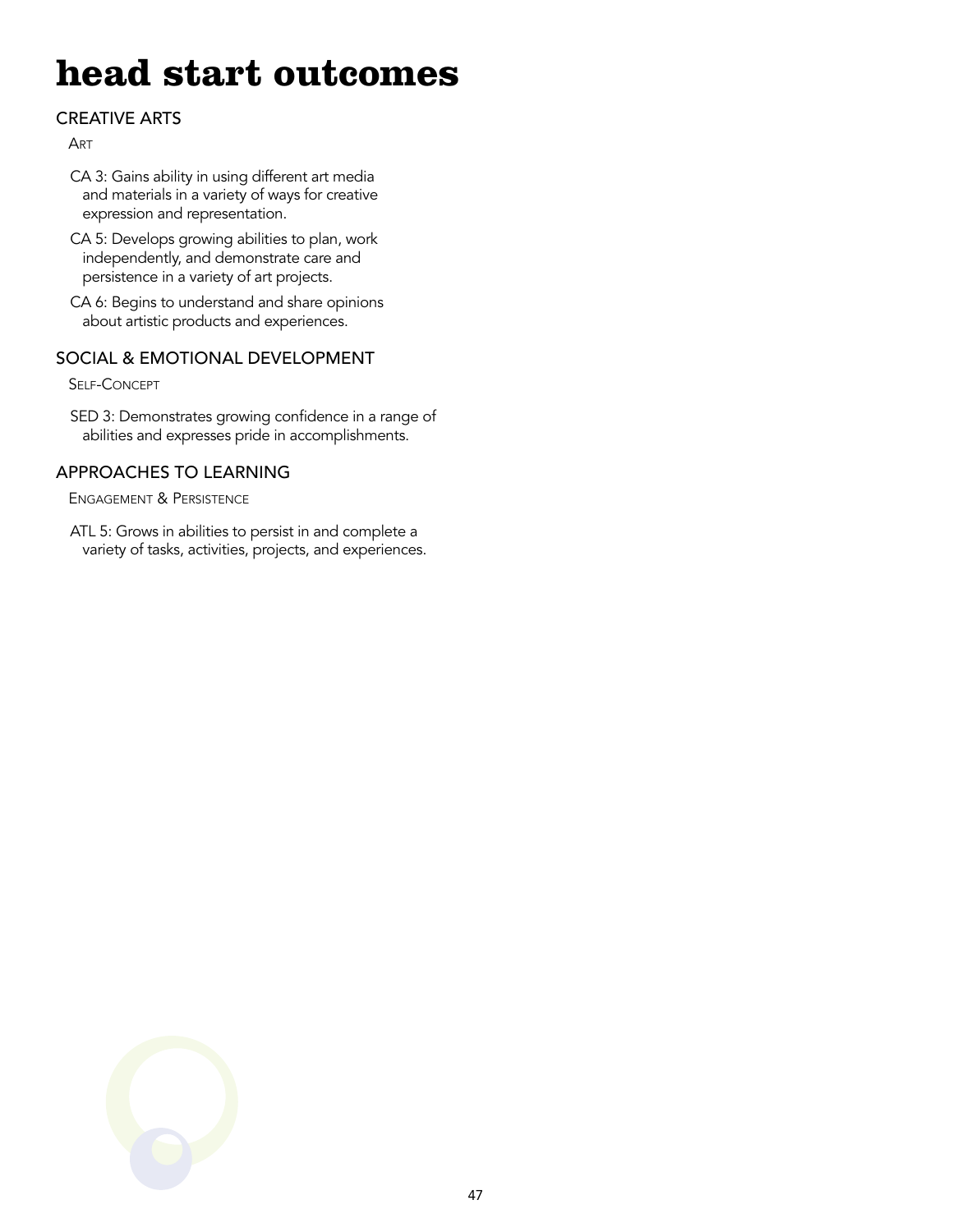## **head start outcomes**

### **CREATIVE ARTS**

**ART** 

- CA 3: Gains ability in using different art media and materials in a variety of ways for creative expression and representation.
- CA 5: Develops growing abilities to plan, work independently, and demonstrate care and persistence in a variety of art projects.
- CA 6: Begins to understand and share opinions about artistic products and experiences.

### Social & Emotional Development

Self-Concept

SED 3: Demonstrates growing confidence in a range of abilities and expresses pride in accomplishments.

### Approaches to Learning

Engagement & Persistence

ATL 5: Grows in abilities to persist in and complete a variety of tasks, activities, projects, and experiences.

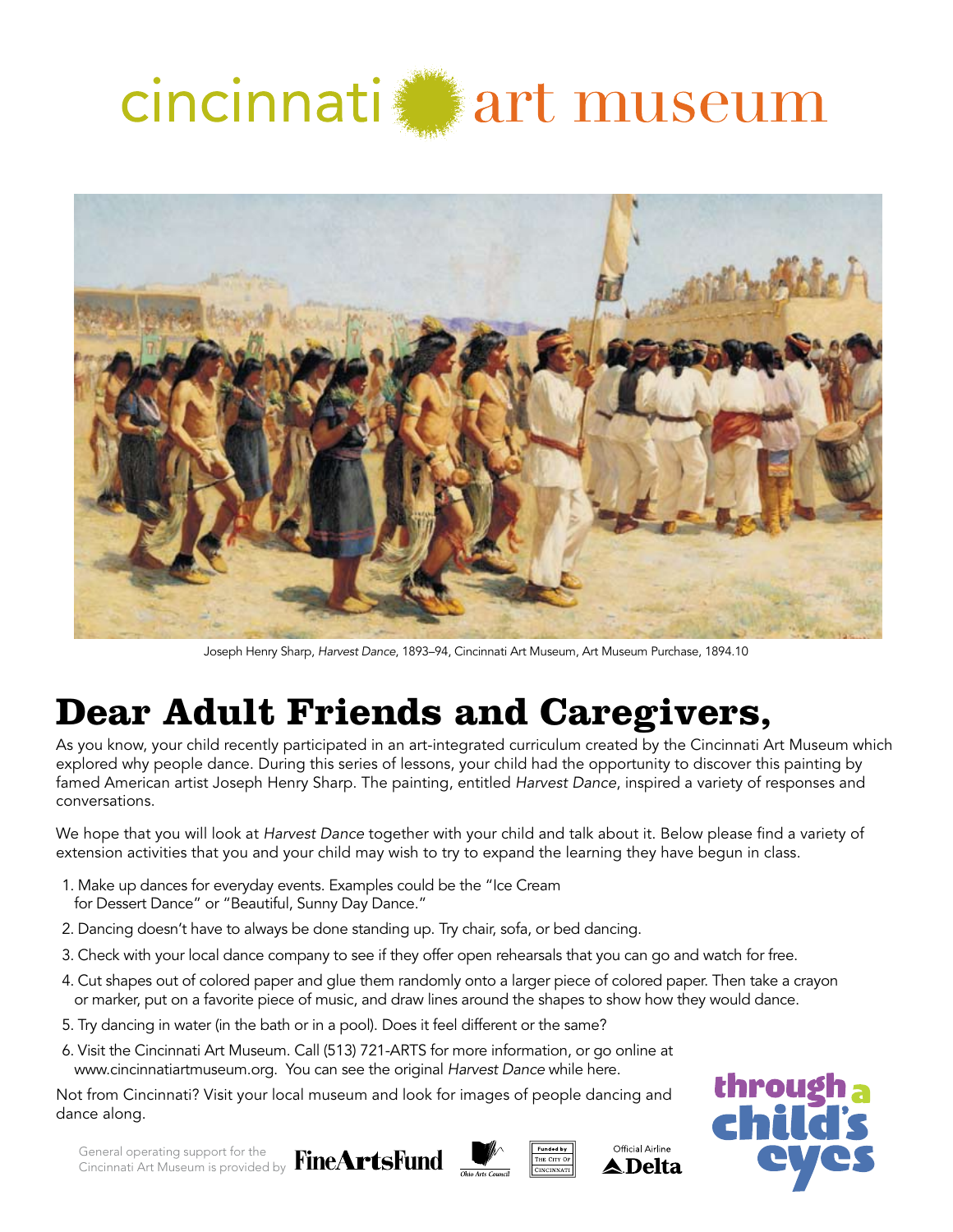



Joseph Henry Sharp, *Harvest Dance*, 1893–94, Cincinnati Art Museum, Art Museum Purchase, 1894.10

## **Dear Adult Friends and Caregivers,**

As you know, your child recently participated in an art-integrated curriculum created by the Cincinnati Art Museum which explored why people dance. During this series of lessons, your child had the opportunity to discover this painting by famed American artist Joseph Henry Sharp. The painting, entitled *Harvest Dance*, inspired a variety of responses and conversations.

We hope that you will look at *Harvest Dance* together with your child and talk about it. Below please find a variety of extension activities that you and your child may wish to try to expand the learning they have begun in class.

- 1. Make up dances for everyday events. Examples could be the "Ice Cream for Dessert Dance" or "Beautiful, Sunny Day Dance."
- 2. Dancing doesn't have to always be done standing up. Try chair, sofa, or bed dancing.
- 3. Check with your local dance company to see if they offer open rehearsals that you can go and watch for free.
- 4. Cut shapes out of colored paper and glue them randomly onto a larger piece of colored paper. Then take a crayon or marker, put on a favorite piece of music, and draw lines around the shapes to show how they would dance.
- 5. Try dancing in water (in the bath or in a pool). Does it feel different or the same?
- 6. Visit the Cincinnati Art Museum. Call (513) 721-ARTS for more information, or go online at www.cincinnatiartmuseum.org. You can see the original *Harvest Dance* while here.

Not from Cincinnati? Visit your local museum and look for images of people dancing and dance along.



General operating support for the Cincinnati Art Museum is provided by



Official Airline **▲ Delta**